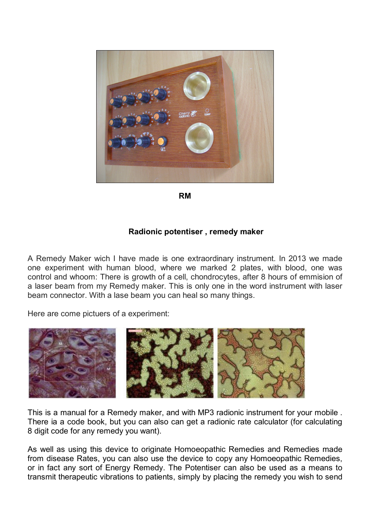

**RM**

## **Radionic potentiser , remedy maker**

A Remedy Maker wich I have made is one extraordinary instrument. In 2013 we made one experiment with human blood, where we marked 2 plates, with blood, one was control and whoom: There is growth of a cell, chondrocytes, after 8 hours of emmision of a laser beam from my Remedy maker. This is only one in the word instrument with laser beam connector. With a lase beam you can heal so many things.

Here are come pictuers of a experiment:



This is a manual for a Remedy maker, and with MP3 radionic instrument for your mobile . There ia a code book, but you can also can get a radionic rate calculator (for calculating 8 digit code for any remedy you want).

As well as using this device to originate Homoeopathic Remedies and Remedies made from disease Rates, you can also use the device to copy any Homoeopathic Remedies, or in fact any sort of Energy Remedy. The Potentiser can also be used as a means to transmit therapeutic vibrations to patients, simply by placing the remedy you wish to send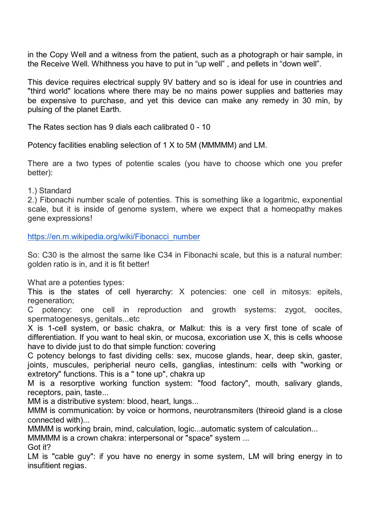in the Copy Well and a witness from the patient, such as a photograph or hair sample, in the Receive Well. Whithness you have to put in "up well" , and pellets in "down well".

This device requires electrical supply 9V battery and so is ideal for use in countries and "third world" locations where there may be no mains power supplies and batteries may be expensive to purchase, and yet this device can make any remedy in 30 min, by pulsing of the planet Earth.

The Rates section has 9 dials each calibrated 0 - 10

Potency facilities enabling selection of 1 X to 5M (MMMMM) and LM.

There are a two types of potentie scales (you have to choose which one you prefer better):

1.) Standard

2.) Fibonachi number scale of potenties. This is something like a logaritmic, exponential scale, but it is inside of genome system, where we expect that a homeopathy makes gene expressions!

https://en.m.wikipedia.org/wiki/Fibonacci\_number

So: C30 is the almost the same like C34 in Fibonachi scale, but this is a natural number: golden ratio is in, and it is fit better!

What are a potenties types:

This is the states of cell hyerarchy: X potencies: one cell in mitosys: epitels, regeneration:

C potency: one cell in reproduction and growth systems: zygot, oocites, spermatogenesys, genitals...etc

X is 1-cell system, or basic chakra, or Malkut: this is a very first tone of scale of differentiation. If you want to heal skin, or mucosa, excoriation use X, this is cells whoose have to divide just to do that simple function: covering

C potency belongs to fast dividing cells: sex, mucose glands, hear, deep skin, gaster, joints, muscules, peripherial neuro cells, ganglias, intestinum: cells with "working or extretory" functions. This is a " tone up", chakra up

M is a resorptive working function system: "food factory", mouth, salivary glands, receptors, pain, taste...

MM is a distributive system: blood, heart, lungs...

MMM is communication: by voice or hormons, neurotransmiters (thireoid gland is a close connected with)...

MMMM is working brain, mind, calculation, logic...automatic system of calculation...

MMMMM is a crown chakra: interpersonal or "space" system ...

Got it?

LM is "cable guy": if you have no energy in some system, LM will bring energy in to insufitient regias.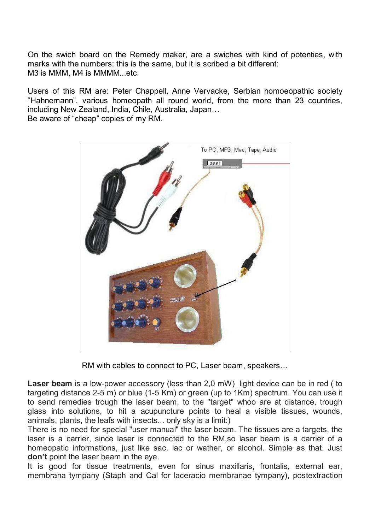On the swich board on the Remedy maker, are a swiches with kind of potenties, with marks with the numbers: this is the same, but it is scribed a bit different: M3 is MMM, M4 is MMMM...etc.

Users of this RM are: Peter Chappell, Anne Vervacke, Serbian homoeopathic society "Hahnemann", various homeopath all round world, from the more than 23 countries, including New Zealand, India, Chile, Australia, Japan… Be aware of "cheap" copies of my RM.



RM with cables to connect to PC, Laser beam, speakers…

**Laser beam** is a low-power accessory (less than 2,0 mW) light device can be in red ( to targeting distance 2-5 m) or blue (1-5 Km) or green (up to 1Km) spectrum. You can use it to send remedies trough the laser beam, to the "target" whoo are at distance, trough glass into solutions, to hit a acupuncture points to heal a visible tissues, wounds, animals, plants, the leafs with insects... only sky is a limit:)

There is no need for special "user manual" the laser beam. The tissues are a targets, the laser is a carrier, since laser is connected to the RM,so laser beam is a carrier of a homeopatic informations, just like sac. lac or wather, or alcohol. Simple as that. Just **don't** point the laser beam in the eye.

It is good for tissue treatments, even for sinus maxillaris, frontalis, external ear, membrana tympany (Staph and Cal for laceracio membranae tympany), postextraction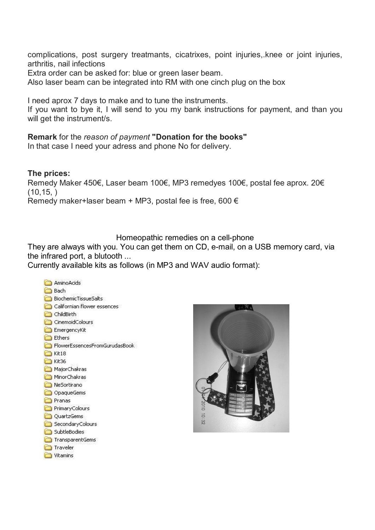complications, post surgery treatmants, cicatrixes, point injuries,.knee or joint injuries, arthritis, nail infections

Extra order can be asked for: blue or green laser beam.

Also laser beam can be integrated into RM with one cinch plug on the box

I need aprox 7 days to make and to tune the instruments.

If you want to bye it, I will send to you my bank instructions for payment, and than you will get the instrument/s.

### **Remark** for the *reason of payment* **"Donation for the books"**

In that case I need your adress and phone No for delivery.

## **The prices:**

Remedy Maker 450€, Laser beam 100€, MP3 remedyes 100€, postal fee aprox. 20€  $(10, 15, )$ Remedy maker+laser beam + MP3, postal fee is free, 600  $\epsilon$ 

Homeopathic remedies on a cell-phone

They are always with you. You can get them on CD, e-mail, on a USB memory card, via the infrared port, a blutooth ...

Currently available kits as follows (in MP3 and WAV audio format):



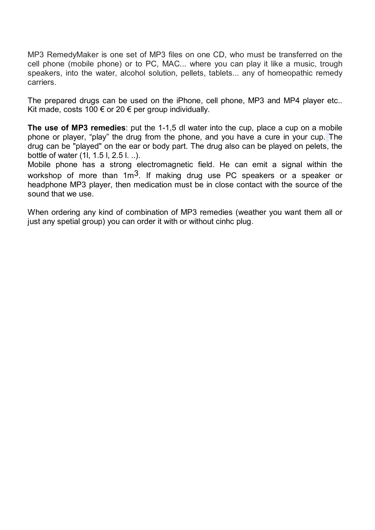MP3 RemedyMaker is one set of MP3 files on one CD, who must be transferred on the cell phone (mobile phone) or to PC, MAC... where you can play it like a music, trough speakers, into the water, alcohol solution, pellets, tablets... any of homeopathic remedy carriers.

The prepared drugs can be used on the iPhone, cell phone, MP3 and MP4 player etc.. Kit made, costs 100  $\epsilon$  or 20  $\epsilon$  per group individually.

**The use of MP3 remedies**: put the 1-1,5 dl water into the cup, place a cup on a mobile phone or player, "play" the drug from the phone, and you have a cure in your cup. The drug can be "played" on the ear or body part. The drug also can be played on pelets, the bottle of water (1l, 1.5 l, 2.5 l. ..).

Mobile phone has a strong electromagnetic field. He can emit a signal within the workshop of more than 1m<sup>3</sup>. If making drug use PC speakers or a speaker or headphone MP3 player, then medication must be in close contact with the source of the sound that we use.

When ordering any kind of combination of MP3 remedies (weather you want them all or just any spetial group) you can order it with or without cinhc plug.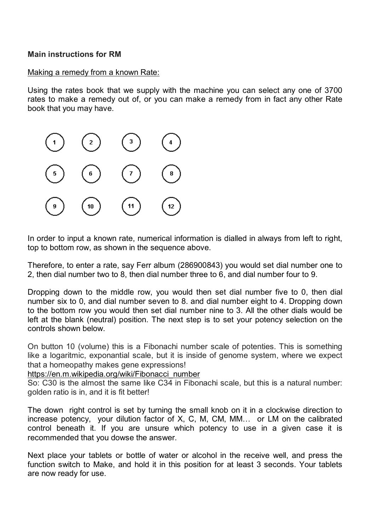## **Main instructions for RM**

## Making a remedy from a known Rate:

Using the rates book that we supply with the machine you can select any one of 3700 rates to make a remedy out of, or you can make a remedy from in fact any other Rate book that you may have.



In order to input a known rate, numerical information is dialled in always from left to right, top to bottom row, as shown in the sequence above.

Therefore, to enter a rate, say Ferr album (286900843) you would set dial number one to 2, then dial number two to 8, then dial number three to 6, and dial number four to 9.

Dropping down to the middle row, you would then set dial number five to 0, then dial number six to 0, and dial number seven to 8. and dial number eight to 4. Dropping down to the bottom row you would then set dial number nine to 3. All the other dials would be left at the blank (neutral) position. The next step is to set your potency selection on the controls shown below.

On button 10 (volume) this is a Fibonachi number scale of potenties. This is something like a logaritmic, exponantial scale, but it is inside of genome system, where we expect that a homeopathy makes gene expressions!

### https://en.m.wikipedia.org/wiki/Fibonacci\_number

So: C30 is the almost the same like C34 in Fibonachi scale, but this is a natural number: golden ratio is in, and it is fit better!

The down right control is set by turning the small knob on it in a clockwise direction to increase potency, your dilution factor of X, C, M, CM, MM… or LM on the calibrated control beneath it. If you are unsure which potency to use in a given case it is recommended that you dowse the answer.

Next place your tablets or bottle of water or alcohol in the receive well, and press the function switch to Make, and hold it in this position for at least 3 seconds. Your tablets are now ready for use.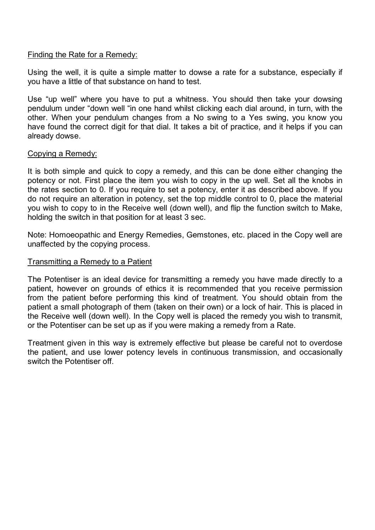## Finding the Rate for a Remedy:

Using the well, it is quite a simple matter to dowse a rate for a substance, especially if you have a little of that substance on hand to test.

Use "up well" where you have to put a whitness. You should then take your dowsing pendulum under "down well "in one hand whilst clicking each dial around, in turn, with the other. When your pendulum changes from a No swing to a Yes swing, you know you have found the correct digit for that dial. It takes a bit of practice, and it helps if you can already dowse.

### Copying a Remedy:

It is both simple and quick to copy a remedy, and this can be done either changing the potency or not. First place the item you wish to copy in the up well. Set all the knobs in the rates section to 0. If you require to set a potency, enter it as described above. If you do not require an alteration in potency, set the top middle control to 0, place the material you wish to copy to in the Receive well (down well), and flip the function switch to Make, holding the switch in that position for at least 3 sec.

Note: Homoeopathic and Energy Remedies, Gemstones, etc. placed in the Copy well are unaffected by the copying process.

## Transmitting a Remedy to a Patient

The Potentiser is an ideal device for transmitting a remedy you have made directly to a patient, however on grounds of ethics it is recommended that you receive permission from the patient before performing this kind of treatment. You should obtain from the patient a small photograph of them (taken on their own) or a lock of hair. This is placed in the Receive well (down well). In the Copy well is placed the remedy you wish to transmit, or the Potentiser can be set up as if you were making a remedy from a Rate.

Treatment given in this way is extremely effective but please be careful not to overdose the patient, and use lower potency levels in continuous transmission, and occasionally switch the Potentiser off.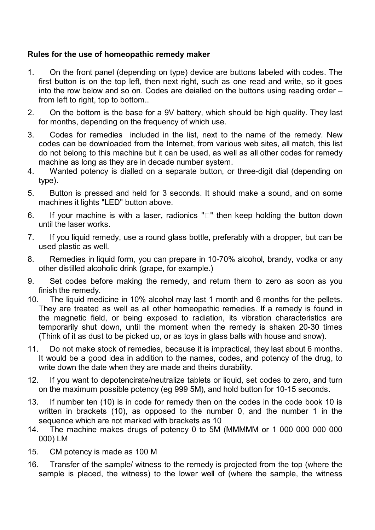# **Rules for the use of homeopathic remedy maker**

- 1. On the front panel (depending on type) device are buttons labeled with codes. The first button is on the top left, then next right, such as one read and write, so it goes into the row below and so on. Codes are deialled on the buttons using reading order – from left to right, top to bottom..
- 2. On the bottom is the base for a 9V battery, which should be high quality. They last for months, depending on the frequency of which use.
- 3. Codes for remedies included in the list, next to the name of the remedy. New codes can be downloaded from the Internet, from various web sites, all match, this list do not belong to this machine but it can be used, as well as all other codes for remedy machine as long as they are in decade number system.
- 4. Wanted potency is dialled on a separate button, or three-digit dial (depending on type).
- 5. Button is pressed and held for 3 seconds. It should make a sound, and on some machines it lights "LED" button above.
- 6. If your machine is with a laser, radionics " $\square$ " then keep holding the button down until the laser works.
- 7. If you liquid remedy, use a round glass bottle, preferably with a dropper, but can be used plastic as well.
- 8. Remedies in liquid form, you can prepare in 10-70% alcohol, brandy, vodka or any other distilled alcoholic drink (grape, for example.)
- 9. Set codes before making the remedy, and return them to zero as soon as you finish the remedy.
- 10. The liquid medicine in 10% alcohol may last 1 month and 6 months for the pellets. They are treated as well as all other homeopathic remedies. If a remedy is found in the magnetic field, or being exposed to radiation, its vibration characteristics are temporarily shut down, until the moment when the remedy is shaken 20-30 times (Think of it as dust to be picked up, or as toys in glass balls with house and snow).
- 11. Do not make stock of remedies, because it is impractical, they last about 6 months. It would be a good idea in addition to the names, codes, and potency of the drug, to write down the date when they are made and theirs durability.
- 12. If you want to depotencirate/neutralize tablets or liquid, set codes to zero, and turn on the maximum possible potency (eg 999 5M), and hold button for 10-15 seconds.
- 13. If number ten (10) is in code for remedy then on the codes in the code book 10 is written in brackets (10), as opposed to the number 0, and the number 1 in the sequence which are not marked with brackets as 10
- 14. The machine makes drugs of potency 0 to 5M (MMMMM or 1 000 000 000 000 000) LM
- 15. CM potency is made as 100 M
- 16. Transfer of the sample/ witness to the remedy is projected from the top (where the sample is placed, the witness) to the lower well of (where the sample, the witness